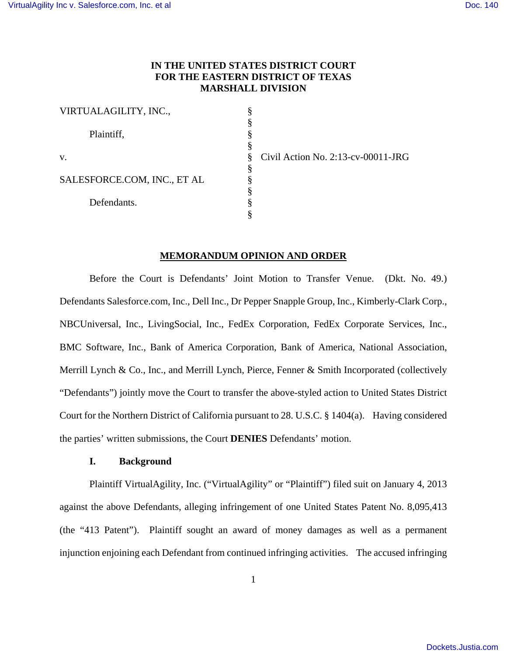# **IN THE UNITED STATES DISTRICT COURT FOR THE EASTERN DISTRICT OF TEXAS MARSHALL DIVISION**

§ § § § § § § § § §

| VIRTUALAGILITY, INC.,       |  |
|-----------------------------|--|
| Plaintiff,                  |  |
| v.                          |  |
| SALESFORCE.COM, INC., ET AL |  |
| Defendants.                 |  |
|                             |  |

Civil Action No. 2:13-cv-00011-JRG

### **MEMORANDUM OPINION AND ORDER**

Before the Court is Defendants' Joint Motion to Transfer Venue. (Dkt. No. 49.) Defendants Salesforce.com, Inc., Dell Inc., Dr Pepper Snapple Group, Inc., Kimberly-Clark Corp., NBCUniversal, Inc., LivingSocial, Inc., FedEx Corporation, FedEx Corporate Services, Inc., BMC Software, Inc., Bank of America Corporation, Bank of America, National Association, Merrill Lynch & Co., Inc., and Merrill Lynch, Pierce, Fenner & Smith Incorporated (collectively "Defendants") jointly move the Court to transfer the above-styled action to United States District Court for the Northern District of California pursuant to 28. U.S.C. § 1404(a). Having considered the parties' written submissions, the Court **DENIES** Defendants' motion.

# **I. Background**

Plaintiff VirtualAgility, Inc. ("VirtualAgility" or "Plaintiff") filed suit on January 4, 2013 against the above Defendants, alleging infringement of one United States Patent No. 8,095,413 (the "413 Patent"). Plaintiff sought an award of money damages as well as a permanent injunction enjoining each Defendant from continued infringing activities. The accused infringing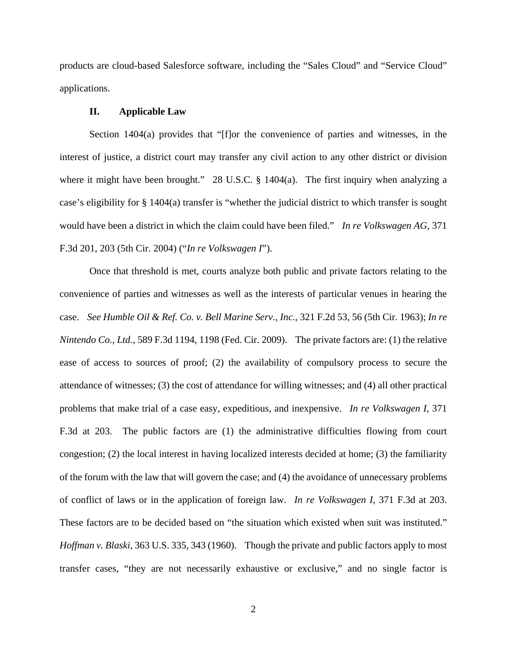products are cloud-based Salesforce software, including the "Sales Cloud" and "Service Cloud" applications.

### **II. Applicable Law**

Section 1404(a) provides that "[f]or the convenience of parties and witnesses, in the interest of justice, a district court may transfer any civil action to any other district or division where it might have been brought." 28 U.S.C. § 1404(a). The first inquiry when analyzing a case's eligibility for § 1404(a) transfer is "whether the judicial district to which transfer is sought would have been a district in which the claim could have been filed." *In re Volkswagen AG*, 371 F.3d 201, 203 (5th Cir. 2004) ("*In re Volkswagen I*").

Once that threshold is met, courts analyze both public and private factors relating to the convenience of parties and witnesses as well as the interests of particular venues in hearing the case. *See Humble Oil & Ref. Co. v. Bell Marine Serv., Inc.*, 321 F.2d 53, 56 (5th Cir. 1963); *In re Nintendo Co., Ltd.*, 589 F.3d 1194, 1198 (Fed. Cir. 2009). The private factors are: (1) the relative ease of access to sources of proof; (2) the availability of compulsory process to secure the attendance of witnesses; (3) the cost of attendance for willing witnesses; and (4) all other practical problems that make trial of a case easy, expeditious, and inexpensive. *In re Volkswagen I*, 371 F.3d at 203. The public factors are (1) the administrative difficulties flowing from court congestion; (2) the local interest in having localized interests decided at home; (3) the familiarity of the forum with the law that will govern the case; and (4) the avoidance of unnecessary problems of conflict of laws or in the application of foreign law. *In re Volkswagen I*, 371 F.3d at 203. These factors are to be decided based on "the situation which existed when suit was instituted." *Hoffman v. Blaski*, 363 U.S. 335, 343 (1960). Though the private and public factors apply to most transfer cases, "they are not necessarily exhaustive or exclusive," and no single factor is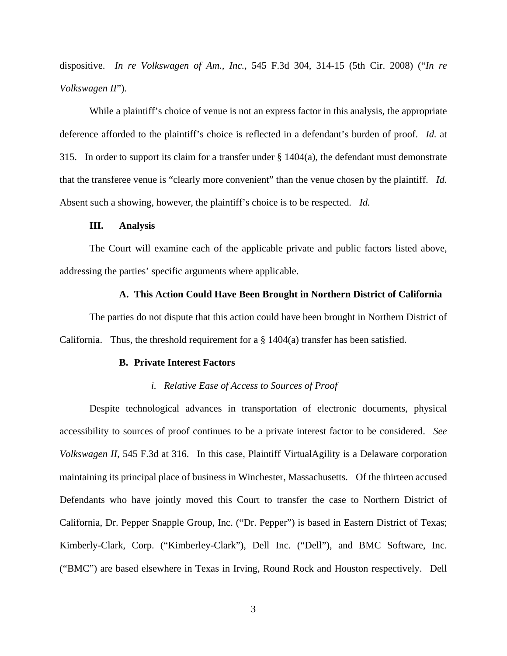dispositive. *In re Volkswagen of Am., Inc.*, 545 F.3d 304, 314-15 (5th Cir. 2008) ("*In re Volkswagen II*").

While a plaintiff's choice of venue is not an express factor in this analysis, the appropriate deference afforded to the plaintiff's choice is reflected in a defendant's burden of proof. *Id.* at 315. In order to support its claim for a transfer under § 1404(a), the defendant must demonstrate that the transferee venue is "clearly more convenient" than the venue chosen by the plaintiff. *Id.* Absent such a showing, however, the plaintiff's choice is to be respected. *Id.* 

#### **III. Analysis**

The Court will examine each of the applicable private and public factors listed above, addressing the parties' specific arguments where applicable.

#### **A. This Action Could Have Been Brought in Northern District of California**

The parties do not dispute that this action could have been brought in Northern District of California. Thus, the threshold requirement for a  $\S$  1404(a) transfer has been satisfied.

#### **B. Private Interest Factors**

# *i. Relative Ease of Access to Sources of Proof*

Despite technological advances in transportation of electronic documents, physical accessibility to sources of proof continues to be a private interest factor to be considered. *See Volkswagen II*, 545 F.3d at 316. In this case, Plaintiff VirtualAgility is a Delaware corporation maintaining its principal place of business in Winchester, Massachusetts. Of the thirteen accused Defendants who have jointly moved this Court to transfer the case to Northern District of California, Dr. Pepper Snapple Group, Inc. ("Dr. Pepper") is based in Eastern District of Texas; Kimberly-Clark, Corp. ("Kimberley-Clark"), Dell Inc. ("Dell"), and BMC Software, Inc. ("BMC") are based elsewhere in Texas in Irving, Round Rock and Houston respectively. Dell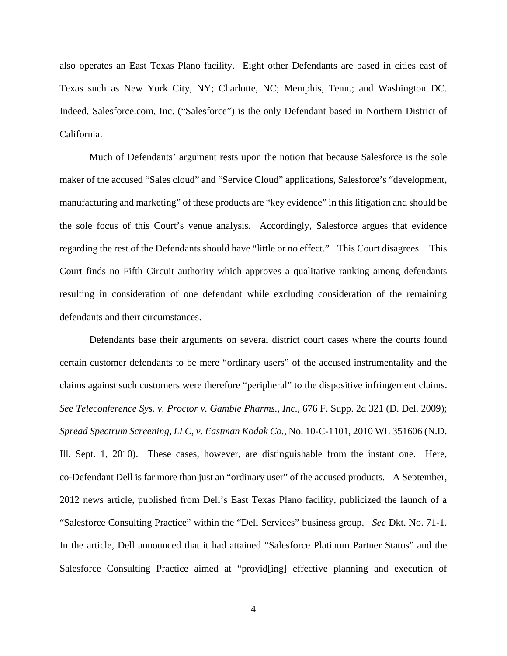also operates an East Texas Plano facility. Eight other Defendants are based in cities east of Texas such as New York City, NY; Charlotte, NC; Memphis, Tenn.; and Washington DC. Indeed, Salesforce.com, Inc. ("Salesforce") is the only Defendant based in Northern District of California.

Much of Defendants' argument rests upon the notion that because Salesforce is the sole maker of the accused "Sales cloud" and "Service Cloud" applications, Salesforce's "development, manufacturing and marketing" of these products are "key evidence" in this litigation and should be the sole focus of this Court's venue analysis. Accordingly, Salesforce argues that evidence regarding the rest of the Defendants should have "little or no effect." This Court disagrees. This Court finds no Fifth Circuit authority which approves a qualitative ranking among defendants resulting in consideration of one defendant while excluding consideration of the remaining defendants and their circumstances.

Defendants base their arguments on several district court cases where the courts found certain customer defendants to be mere "ordinary users" of the accused instrumentality and the claims against such customers were therefore "peripheral" to the dispositive infringement claims. *See Teleconference Sys. v. Proctor v. Gamble Pharms., Inc.*, 676 F. Supp. 2d 321 (D. Del. 2009); *Spread Spectrum Screening, LLC, v. Eastman Kodak Co.*, No. 10-C-1101, 2010 WL 351606 (N.D. Ill. Sept. 1, 2010). These cases, however, are distinguishable from the instant one. Here, co-Defendant Dell is far more than just an "ordinary user" of the accused products. A September, 2012 news article, published from Dell's East Texas Plano facility, publicized the launch of a "Salesforce Consulting Practice" within the "Dell Services" business group. *See* Dkt. No. 71-1. In the article, Dell announced that it had attained "Salesforce Platinum Partner Status" and the Salesforce Consulting Practice aimed at "provid[ing] effective planning and execution of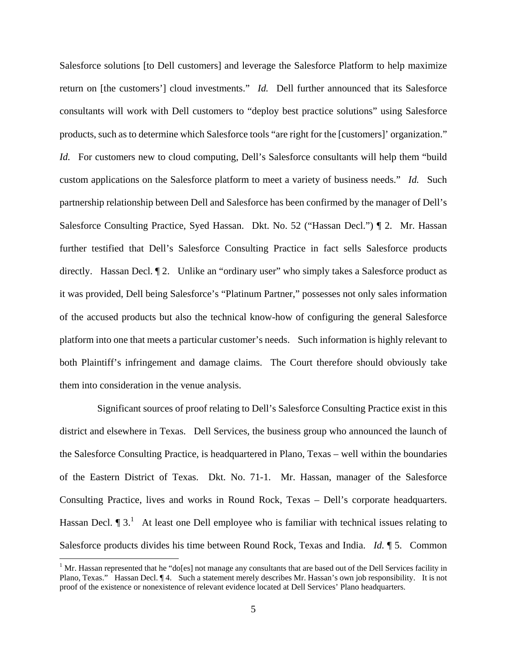Salesforce solutions [to Dell customers] and leverage the Salesforce Platform to help maximize return on [the customers'] cloud investments." *Id.* Dell further announced that its Salesforce consultants will work with Dell customers to "deploy best practice solutions" using Salesforce products, such as to determine which Salesforce tools "are right for the [customers]' organization." *Id.* For customers new to cloud computing, Dell's Salesforce consultants will help them "build" custom applications on the Salesforce platform to meet a variety of business needs." *Id.* Such partnership relationship between Dell and Salesforce has been confirmed by the manager of Dell's Salesforce Consulting Practice, Syed Hassan. Dkt. No. 52 ("Hassan Decl.") ¶ 2. Mr. Hassan further testified that Dell's Salesforce Consulting Practice in fact sells Salesforce products directly. Hassan Decl.  $\llbracket 2$ . Unlike an "ordinary user" who simply takes a Salesforce product as it was provided, Dell being Salesforce's "Platinum Partner," possesses not only sales information of the accused products but also the technical know-how of configuring the general Salesforce platform into one that meets a particular customer's needs. Such information is highly relevant to both Plaintiff's infringement and damage claims. The Court therefore should obviously take them into consideration in the venue analysis.

 Significant sources of proof relating to Dell's Salesforce Consulting Practice exist in this district and elsewhere in Texas. Dell Services, the business group who announced the launch of the Salesforce Consulting Practice, is headquartered in Plano, Texas – well within the boundaries of the Eastern District of Texas. Dkt. No. 71-1. Mr. Hassan, manager of the Salesforce Consulting Practice, lives and works in Round Rock, Texas – Dell's corporate headquarters. Hassan Decl.  $\P$  3.<sup>1</sup> At least one Dell employee who is familiar with technical issues relating to Salesforce products divides his time between Round Rock, Texas and India. *Id.* ¶ 5. Common

<sup>&</sup>lt;sup>1</sup> Mr. Hassan represented that he "do[es] not manage any consultants that are based out of the Dell Services facility in Plano, Texas." Hassan Decl. ¶ 4. Such a statement merely describes Mr. Hassan's own job responsibility. It is not proof of the existence or nonexistence of relevant evidence located at Dell Services' Plano headquarters.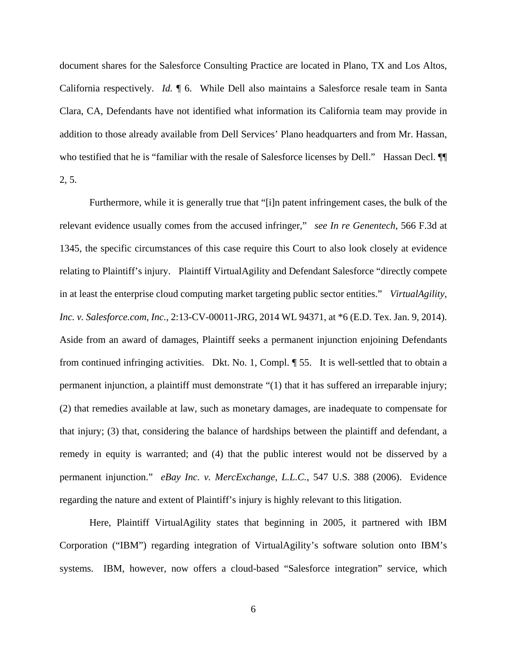document shares for the Salesforce Consulting Practice are located in Plano, TX and Los Altos, California respectively. *Id.* ¶ 6. While Dell also maintains a Salesforce resale team in Santa Clara, CA, Defendants have not identified what information its California team may provide in addition to those already available from Dell Services' Plano headquarters and from Mr. Hassan, who testified that he is "familiar with the resale of Salesforce licenses by Dell." Hassan Decl.  $\P$ 2, 5.

Furthermore, while it is generally true that "[i]n patent infringement cases, the bulk of the relevant evidence usually comes from the accused infringer," *see In re Genentech*, 566 F.3d at 1345, the specific circumstances of this case require this Court to also look closely at evidence relating to Plaintiff's injury. Plaintiff VirtualAgility and Defendant Salesforce "directly compete in at least the enterprise cloud computing market targeting public sector entities." *VirtualAgility, Inc. v. Salesforce.com, Inc.*, 2:13-CV-00011-JRG, 2014 WL 94371, at \*6 (E.D. Tex. Jan. 9, 2014). Aside from an award of damages, Plaintiff seeks a permanent injunction enjoining Defendants from continued infringing activities. Dkt. No. 1, Compl. ¶ 55. It is well-settled that to obtain a permanent injunction, a plaintiff must demonstrate "(1) that it has suffered an irreparable injury; (2) that remedies available at law, such as monetary damages, are inadequate to compensate for that injury; (3) that, considering the balance of hardships between the plaintiff and defendant, a remedy in equity is warranted; and (4) that the public interest would not be disserved by a permanent injunction." *eBay Inc. v. MercExchange, L.L.C.*, 547 U.S. 388 (2006). Evidence regarding the nature and extent of Plaintiff's injury is highly relevant to this litigation.

Here, Plaintiff VirtualAgility states that beginning in 2005, it partnered with IBM Corporation ("IBM") regarding integration of VirtualAgility's software solution onto IBM's systems. IBM, however, now offers a cloud-based "Salesforce integration" service, which

6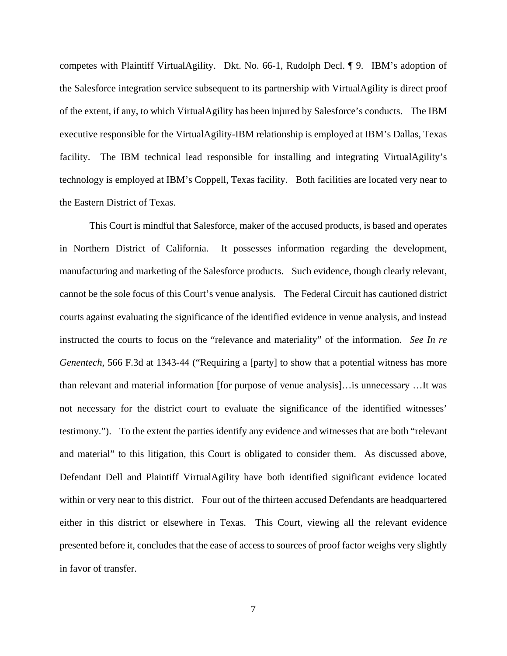competes with Plaintiff VirtualAgility. Dkt. No. 66-1, Rudolph Decl. ¶ 9. IBM's adoption of the Salesforce integration service subsequent to its partnership with VirtualAgility is direct proof of the extent, if any, to which VirtualAgility has been injured by Salesforce's conducts. The IBM executive responsible for the VirtualAgility-IBM relationship is employed at IBM's Dallas, Texas facility. The IBM technical lead responsible for installing and integrating VirtualAgility's technology is employed at IBM's Coppell, Texas facility. Both facilities are located very near to the Eastern District of Texas.

This Court is mindful that Salesforce, maker of the accused products, is based and operates in Northern District of California. It possesses information regarding the development, manufacturing and marketing of the Salesforce products. Such evidence, though clearly relevant, cannot be the sole focus of this Court's venue analysis. The Federal Circuit has cautioned district courts against evaluating the significance of the identified evidence in venue analysis, and instead instructed the courts to focus on the "relevance and materiality" of the information. *See In re Genentech*, 566 F.3d at 1343-44 ("Requiring a [party] to show that a potential witness has more than relevant and material information [for purpose of venue analysis]…is unnecessary …It was not necessary for the district court to evaluate the significance of the identified witnesses' testimony."). To the extent the parties identify any evidence and witnesses that are both "relevant and material" to this litigation, this Court is obligated to consider them. As discussed above, Defendant Dell and Plaintiff VirtualAgility have both identified significant evidence located within or very near to this district. Four out of the thirteen accused Defendants are headquartered either in this district or elsewhere in Texas. This Court, viewing all the relevant evidence presented before it, concludes that the ease of access to sources of proof factor weighs very slightly in favor of transfer.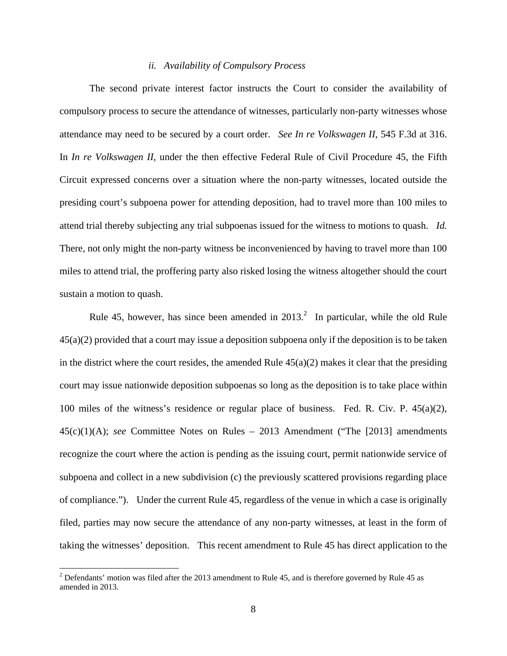# *ii. Availability of Compulsory Process*

The second private interest factor instructs the Court to consider the availability of compulsory process to secure the attendance of witnesses, particularly non-party witnesses whose attendance may need to be secured by a court order. *See In re Volkswagen II*, 545 F.3d at 316. In *In re Volkswagen II*, under the then effective Federal Rule of Civil Procedure 45, the Fifth Circuit expressed concerns over a situation where the non-party witnesses, located outside the presiding court's subpoena power for attending deposition, had to travel more than 100 miles to attend trial thereby subjecting any trial subpoenas issued for the witness to motions to quash. *Id.* There, not only might the non-party witness be inconvenienced by having to travel more than 100 miles to attend trial, the proffering party also risked losing the witness altogether should the court sustain a motion to quash.

Rule 45, however, has since been amended in  $2013<sup>2</sup>$  In particular, while the old Rule 45(a)(2) provided that a court may issue a deposition subpoena only if the deposition is to be taken in the district where the court resides, the amended Rule  $45(a)(2)$  makes it clear that the presiding court may issue nationwide deposition subpoenas so long as the deposition is to take place within 100 miles of the witness's residence or regular place of business. Fed. R. Civ. P. 45(a)(2), 45(c)(1)(A); *see* Committee Notes on Rules – 2013 Amendment ("The [2013] amendments recognize the court where the action is pending as the issuing court, permit nationwide service of subpoena and collect in a new subdivision (c) the previously scattered provisions regarding place of compliance."). Under the current Rule 45, regardless of the venue in which a case is originally filed, parties may now secure the attendance of any non-party witnesses, at least in the form of taking the witnesses' deposition. This recent amendment to Rule 45 has direct application to the

 $2$  Defendants' motion was filed after the 2013 amendment to Rule 45, and is therefore governed by Rule 45 as amended in 2013.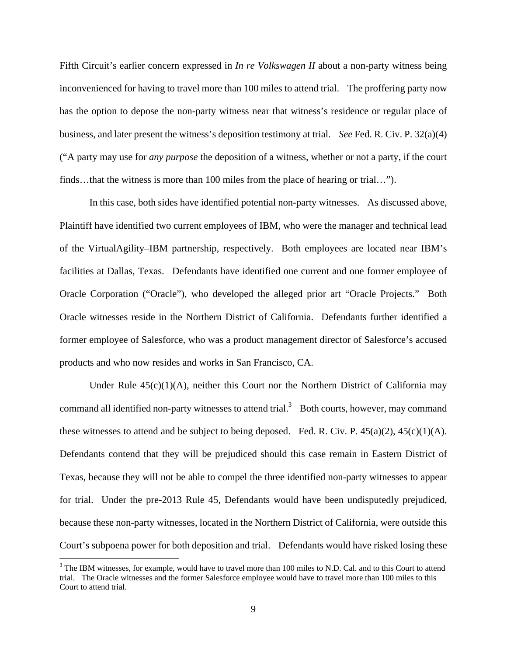Fifth Circuit's earlier concern expressed in *In re Volkswagen II* about a non-party witness being inconvenienced for having to travel more than 100 miles to attend trial. The proffering party now has the option to depose the non-party witness near that witness's residence or regular place of business, and later present the witness's deposition testimony at trial. *See* Fed. R. Civ. P. 32(a)(4) ("A party may use for *any purpose* the deposition of a witness, whether or not a party, if the court finds…that the witness is more than 100 miles from the place of hearing or trial…").

In this case, both sides have identified potential non-party witnesses. As discussed above, Plaintiff have identified two current employees of IBM, who were the manager and technical lead of the VirtualAgility–IBM partnership, respectively. Both employees are located near IBM's facilities at Dallas, Texas. Defendants have identified one current and one former employee of Oracle Corporation ("Oracle"), who developed the alleged prior art "Oracle Projects." Both Oracle witnesses reside in the Northern District of California. Defendants further identified a former employee of Salesforce, who was a product management director of Salesforce's accused products and who now resides and works in San Francisco, CA.

Under Rule  $45(c)(1)(A)$ , neither this Court nor the Northern District of California may command all identified non-party witnesses to attend trial.<sup>3</sup> Both courts, however, may command these witnesses to attend and be subject to being deposed. Fed. R. Civ. P.  $45(a)(2)$ ,  $45(c)(1)(A)$ . Defendants contend that they will be prejudiced should this case remain in Eastern District of Texas, because they will not be able to compel the three identified non-party witnesses to appear for trial. Under the pre-2013 Rule 45, Defendants would have been undisputedly prejudiced, because these non-party witnesses, located in the Northern District of California, were outside this Court's subpoena power for both deposition and trial. Defendants would have risked losing these

<sup>&</sup>lt;sup>3</sup> The IBM witnesses, for example, would have to travel more than 100 miles to N.D. Cal. and to this Court to attend trial. The Oracle witnesses and the former Salesforce employee would have to travel more than 100 miles to this Court to attend trial.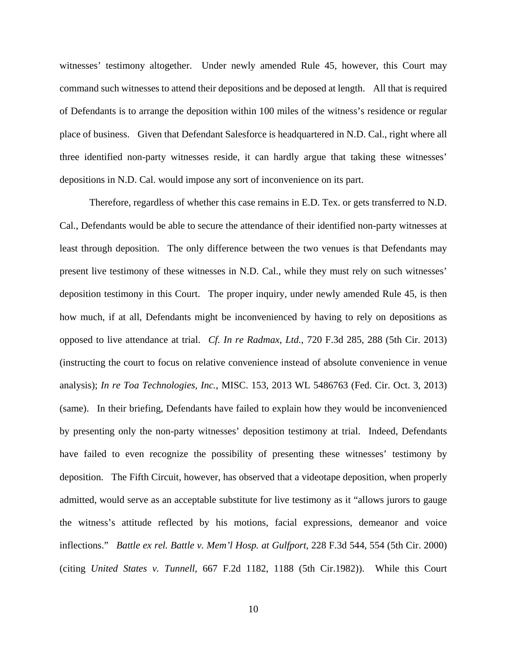witnesses' testimony altogether. Under newly amended Rule 45, however, this Court may command such witnesses to attend their depositions and be deposed at length. All that is required of Defendants is to arrange the deposition within 100 miles of the witness's residence or regular place of business. Given that Defendant Salesforce is headquartered in N.D. Cal., right where all three identified non-party witnesses reside, it can hardly argue that taking these witnesses' depositions in N.D. Cal. would impose any sort of inconvenience on its part.

Therefore, regardless of whether this case remains in E.D. Tex. or gets transferred to N.D. Cal., Defendants would be able to secure the attendance of their identified non-party witnesses at least through deposition. The only difference between the two venues is that Defendants may present live testimony of these witnesses in N.D. Cal., while they must rely on such witnesses' deposition testimony in this Court. The proper inquiry, under newly amended Rule 45, is then how much, if at all, Defendants might be inconvenienced by having to rely on depositions as opposed to live attendance at trial. *Cf. In re Radmax, Ltd.*, 720 F.3d 285, 288 (5th Cir. 2013) (instructing the court to focus on relative convenience instead of absolute convenience in venue analysis); *In re Toa Technologies, Inc.*, MISC. 153, 2013 WL 5486763 (Fed. Cir. Oct. 3, 2013) (same). In their briefing, Defendants have failed to explain how they would be inconvenienced by presenting only the non-party witnesses' deposition testimony at trial. Indeed, Defendants have failed to even recognize the possibility of presenting these witnesses' testimony by deposition. The Fifth Circuit, however, has observed that a videotape deposition, when properly admitted, would serve as an acceptable substitute for live testimony as it "allows jurors to gauge the witness's attitude reflected by his motions, facial expressions, demeanor and voice inflections." *Battle ex rel. Battle v. Mem'l Hosp. at Gulfport*, 228 F.3d 544, 554 (5th Cir. 2000) (citing *United States v. Tunnell*, 667 F.2d 1182, 1188 (5th Cir.1982)). While this Court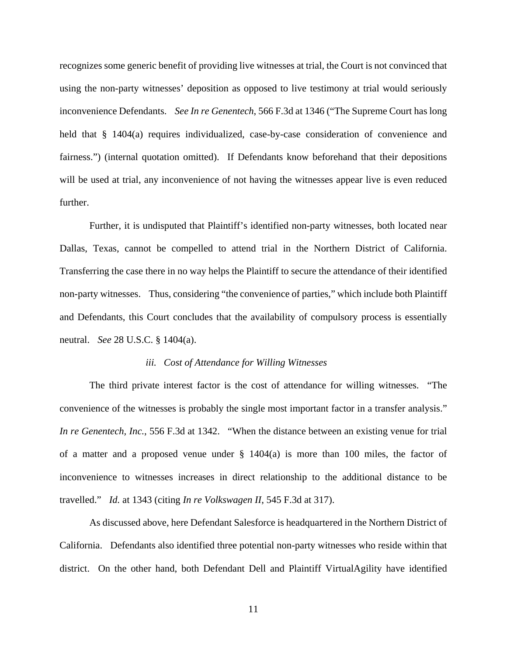recognizes some generic benefit of providing live witnesses at trial, the Court is not convinced that using the non-party witnesses' deposition as opposed to live testimony at trial would seriously inconvenience Defendants. *See In re Genentech*, 566 F.3d at 1346 ("The Supreme Court has long held that § 1404(a) requires individualized, case-by-case consideration of convenience and fairness.") (internal quotation omitted). If Defendants know beforehand that their depositions will be used at trial, any inconvenience of not having the witnesses appear live is even reduced further.

Further, it is undisputed that Plaintiff's identified non-party witnesses, both located near Dallas, Texas, cannot be compelled to attend trial in the Northern District of California. Transferring the case there in no way helps the Plaintiff to secure the attendance of their identified non-party witnesses. Thus, considering "the convenience of parties," which include both Plaintiff and Defendants, this Court concludes that the availability of compulsory process is essentially neutral. *See* 28 U.S.C. § 1404(a).

#### *iii. Cost of Attendance for Willing Witnesses*

The third private interest factor is the cost of attendance for willing witnesses. "The convenience of the witnesses is probably the single most important factor in a transfer analysis." *In re Genentech, Inc.*, 556 F.3d at 1342. "When the distance between an existing venue for trial of a matter and a proposed venue under § 1404(a) is more than 100 miles, the factor of inconvenience to witnesses increases in direct relationship to the additional distance to be travelled." *Id.* at 1343 (citing *In re Volkswagen II*, 545 F.3d at 317).

As discussed above, here Defendant Salesforce is headquartered in the Northern District of California. Defendants also identified three potential non-party witnesses who reside within that district. On the other hand, both Defendant Dell and Plaintiff VirtualAgility have identified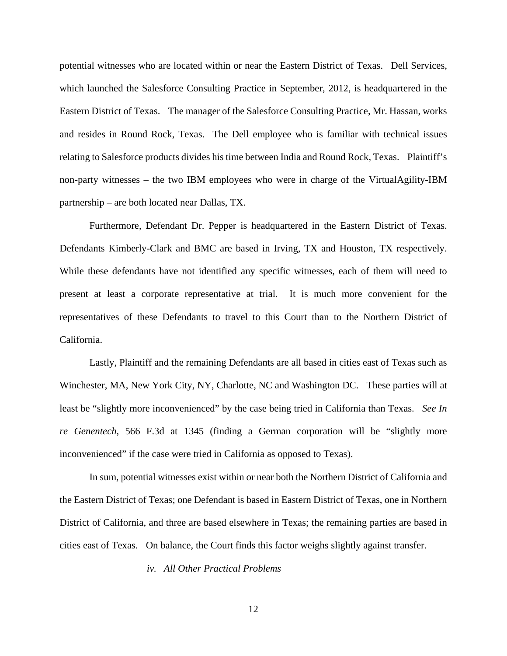potential witnesses who are located within or near the Eastern District of Texas. Dell Services, which launched the Salesforce Consulting Practice in September, 2012, is headquartered in the Eastern District of Texas. The manager of the Salesforce Consulting Practice, Mr. Hassan, works and resides in Round Rock, Texas. The Dell employee who is familiar with technical issues relating to Salesforce products divides his time between India and Round Rock, Texas. Plaintiff's non-party witnesses – the two IBM employees who were in charge of the VirtualAgility-IBM partnership – are both located near Dallas, TX.

Furthermore, Defendant Dr. Pepper is headquartered in the Eastern District of Texas. Defendants Kimberly-Clark and BMC are based in Irving, TX and Houston, TX respectively. While these defendants have not identified any specific witnesses, each of them will need to present at least a corporate representative at trial. It is much more convenient for the representatives of these Defendants to travel to this Court than to the Northern District of California.

Lastly, Plaintiff and the remaining Defendants are all based in cities east of Texas such as Winchester, MA, New York City, NY, Charlotte, NC and Washington DC. These parties will at least be "slightly more inconvenienced" by the case being tried in California than Texas. *See In re Genentech*, 566 F.3d at 1345 (finding a German corporation will be "slightly more inconvenienced" if the case were tried in California as opposed to Texas).

In sum, potential witnesses exist within or near both the Northern District of California and the Eastern District of Texas; one Defendant is based in Eastern District of Texas, one in Northern District of California, and three are based elsewhere in Texas; the remaining parties are based in cities east of Texas. On balance, the Court finds this factor weighs slightly against transfer.

*iv. All Other Practical Problems* 

12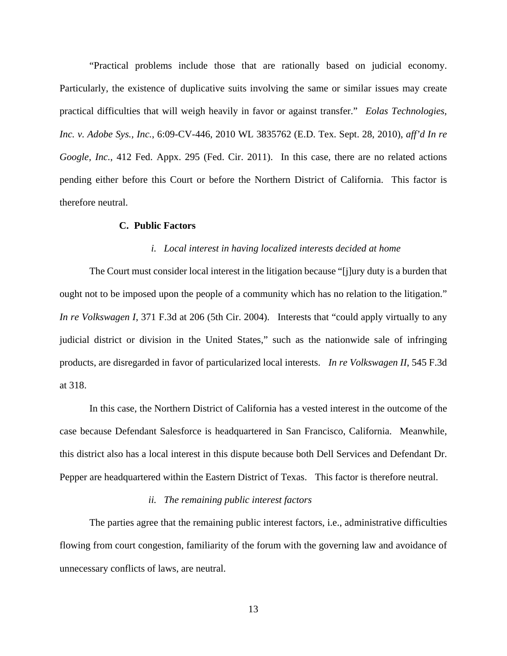"Practical problems include those that are rationally based on judicial economy. Particularly, the existence of duplicative suits involving the same or similar issues may create practical difficulties that will weigh heavily in favor or against transfer." *Eolas Technologies, Inc. v. Adobe Sys., Inc.*, 6:09-CV-446, 2010 WL 3835762 (E.D. Tex. Sept. 28, 2010), *aff'd In re Google, Inc.*, 412 Fed. Appx. 295 (Fed. Cir. 2011). In this case, there are no related actions pending either before this Court or before the Northern District of California. This factor is therefore neutral.

## **C. Public Factors**

### *i. Local interest in having localized interests decided at home*

The Court must consider local interest in the litigation because "[j]ury duty is a burden that ought not to be imposed upon the people of a community which has no relation to the litigation." *In re Volkswagen I*, 371 F.3d at 206 (5th Cir. 2004). Interests that "could apply virtually to any judicial district or division in the United States," such as the nationwide sale of infringing products, are disregarded in favor of particularized local interests. *In re Volkswagen II*, 545 F.3d at 318.

In this case, the Northern District of California has a vested interest in the outcome of the case because Defendant Salesforce is headquartered in San Francisco, California. Meanwhile, this district also has a local interest in this dispute because both Dell Services and Defendant Dr. Pepper are headquartered within the Eastern District of Texas. This factor is therefore neutral.

# *ii. The remaining public interest factors*

The parties agree that the remaining public interest factors, i.e., administrative difficulties flowing from court congestion, familiarity of the forum with the governing law and avoidance of unnecessary conflicts of laws, are neutral.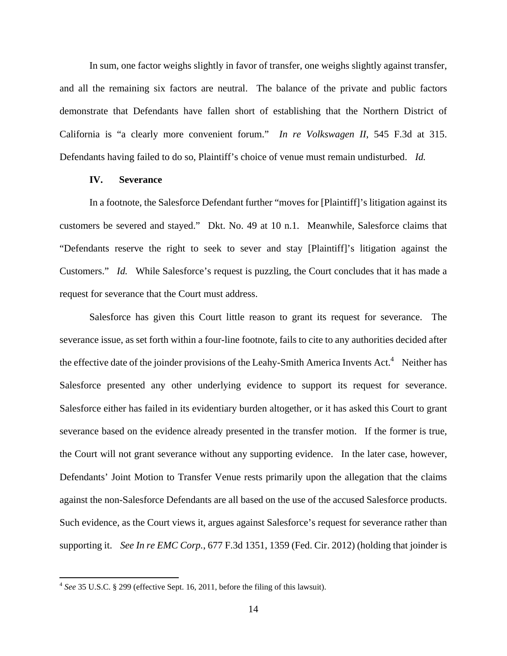In sum, one factor weighs slightly in favor of transfer, one weighs slightly against transfer, and all the remaining six factors are neutral. The balance of the private and public factors demonstrate that Defendants have fallen short of establishing that the Northern District of California is "a clearly more convenient forum." *In re Volkswagen II*, 545 F.3d at 315. Defendants having failed to do so, Plaintiff's choice of venue must remain undisturbed. *Id.*

# **IV. Severance**

In a footnote, the Salesforce Defendant further "moves for [Plaintiff]'s litigation against its customers be severed and stayed." Dkt. No. 49 at 10 n.1. Meanwhile, Salesforce claims that "Defendants reserve the right to seek to sever and stay [Plaintiff]'s litigation against the Customers." *Id.* While Salesforce's request is puzzling, the Court concludes that it has made a request for severance that the Court must address.

Salesforce has given this Court little reason to grant its request for severance. The severance issue, as set forth within a four-line footnote, fails to cite to any authorities decided after the effective date of the joinder provisions of the Leahy-Smith America Invents Act.<sup>4</sup> Neither has Salesforce presented any other underlying evidence to support its request for severance. Salesforce either has failed in its evidentiary burden altogether, or it has asked this Court to grant severance based on the evidence already presented in the transfer motion. If the former is true, the Court will not grant severance without any supporting evidence. In the later case, however, Defendants' Joint Motion to Transfer Venue rests primarily upon the allegation that the claims against the non-Salesforce Defendants are all based on the use of the accused Salesforce products. Such evidence, as the Court views it, argues against Salesforce's request for severance rather than supporting it. *See In re EMC Corp.*, 677 F.3d 1351, 1359 (Fed. Cir. 2012) (holding that joinder is

<sup>4</sup>*See* 35 U.S.C. § 299 (effective Sept. 16, 2011, before the filing of this lawsuit).